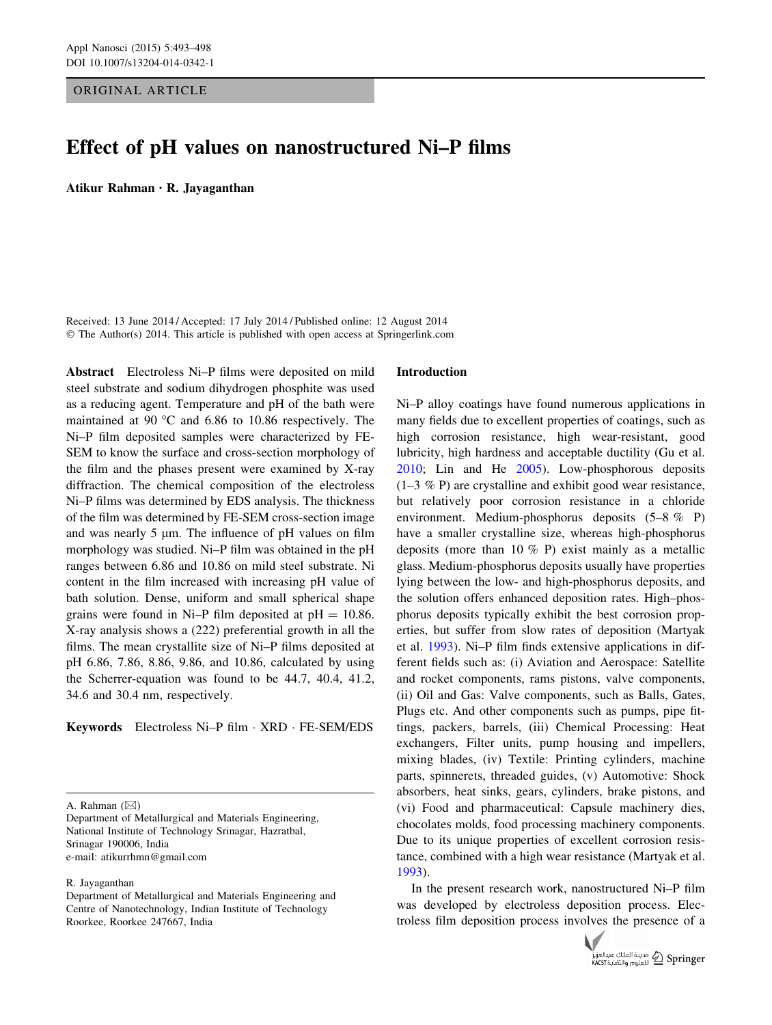ORIGINAL ARTICLE

# Effect of pH values on nanostructured Ni–P films

Atikur Rahman • R. Jayaganthan

Received: 13 June 2014 / Accepted: 17 July 2014 / Published online: 12 August 2014 © The Author(s) 2014. This article is published with open access at Springerlink.com

Abstract Electroless Ni–P films were deposited on mild steel substrate and sodium dihydrogen phosphite was used as a reducing agent. Temperature and pH of the bath were maintained at 90 $\degree$ C and 6.86 to 10.86 respectively. The Ni–P film deposited samples were characterized by FE-SEM to know the surface and cross-section morphology of the film and the phases present were examined by X-ray diffraction. The chemical composition of the electroless Ni–P films was determined by EDS analysis. The thickness of the film was determined by FE-SEM cross-section image and was nearly  $5 \mu m$ . The influence of pH values on film morphology was studied. Ni–P film was obtained in the pH ranges between 6.86 and 10.86 on mild steel substrate. Ni content in the film increased with increasing pH value of bath solution. Dense, uniform and small spherical shape grains were found in Ni–P film deposited at  $pH = 10.86$ . X-ray analysis shows a (222) preferential growth in all the films. The mean crystallite size of Ni–P films deposited at pH 6.86, 7.86, 8.86, 9.86, and 10.86, calculated by using the Scherrer-equation was found to be 44.7, 40.4, 41.2, 34.6 and 30.4 nm, respectively.

Keywords Electroless Ni–P film - XRD - FE-SEM/EDS

A. Rahman  $(\boxtimes)$ 

Department of Metallurgical and Materials Engineering, National Institute of Technology Srinagar, Hazratbal, Srinagar 190006, India e-mail: atikurrhmn@gmail.com

R. Jayaganthan

#### Introduction

Ni–P alloy coatings have found numerous applications in many fields due to excellent properties of coatings, such as high corrosion resistance, high wear-resistant, good lubricity, high hardness and acceptable ductility (Gu et al. [2010](#page-4-0); Lin and He [2005](#page-4-0)). Low-phosphorous deposits  $(1-3 \, %)$  are crystalline and exhibit good wear resistance, but relatively poor corrosion resistance in a chloride environment. Medium-phosphorus deposits (5–8 % P) have a smaller crystalline size, whereas high-phosphorus deposits (more than 10 % P) exist mainly as a metallic glass. Medium-phosphorus deposits usually have properties lying between the low- and high-phosphorus deposits, and the solution offers enhanced deposition rates. High–phosphorus deposits typically exhibit the best corrosion properties, but suffer from slow rates of deposition (Martyak et al. [1993](#page-5-0)). Ni–P film finds extensive applications in different fields such as: (i) Aviation and Aerospace: Satellite and rocket components, rams pistons, valve components, (ii) Oil and Gas: Valve components, such as Balls, Gates, Plugs etc. And other components such as pumps, pipe fittings, packers, barrels, (iii) Chemical Processing: Heat exchangers, Filter units, pump housing and impellers, mixing blades, (iv) Textile: Printing cylinders, machine parts, spinnerets, threaded guides, (v) Automotive: Shock absorbers, heat sinks, gears, cylinders, brake pistons, and (vi) Food and pharmaceutical: Capsule machinery dies, chocolates molds, food processing machinery components. Due to its unique properties of excellent corrosion resistance, combined with a high wear resistance (Martyak et al. [1993](#page-5-0)).

In the present research work, nanostructured Ni–P film was developed by electroless deposition process. Electroless film deposition process involves the presence of a



Department of Metallurgical and Materials Engineering and Centre of Nanotechnology, Indian Institute of Technology Roorkee, Roorkee 247667, India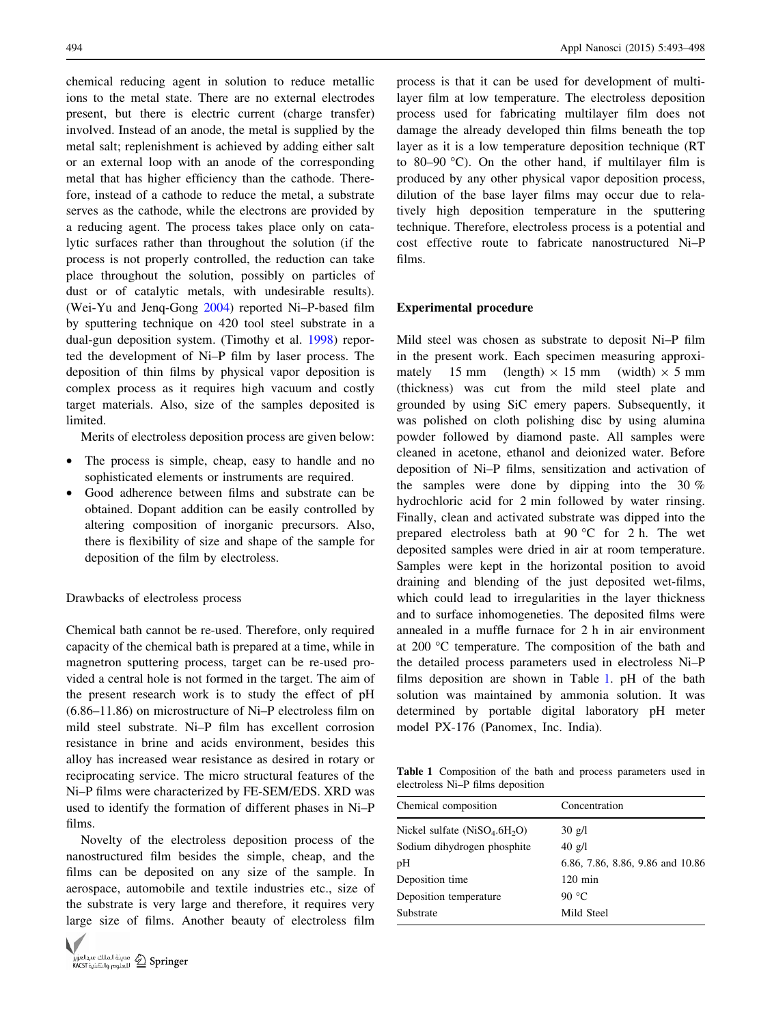chemical reducing agent in solution to reduce metallic ions to the metal state. There are no external electrodes present, but there is electric current (charge transfer) involved. Instead of an anode, the metal is supplied by the metal salt; replenishment is achieved by adding either salt or an external loop with an anode of the corresponding metal that has higher efficiency than the cathode. Therefore, instead of a cathode to reduce the metal, a substrate serves as the cathode, while the electrons are provided by a reducing agent. The process takes place only on catalytic surfaces rather than throughout the solution (if the process is not properly controlled, the reduction can take place throughout the solution, possibly on particles of dust or of catalytic metals, with undesirable results). (Wei-Yu and Jenq-Gong [2004](#page-5-0)) reported Ni–P-based film by sputtering technique on 420 tool steel substrate in a dual-gun deposition system. (Timothy et al. [1998](#page-5-0)) reported the development of Ni–P film by laser process. The deposition of thin films by physical vapor deposition is complex process as it requires high vacuum and costly target materials. Also, size of the samples deposited is limited.

Merits of electroless deposition process are given below:

- The process is simple, cheap, easy to handle and no sophisticated elements or instruments are required.
- Good adherence between films and substrate can be obtained. Dopant addition can be easily controlled by altering composition of inorganic precursors. Also, there is flexibility of size and shape of the sample for deposition of the film by electroless.

# Drawbacks of electroless process

Chemical bath cannot be re-used. Therefore, only required capacity of the chemical bath is prepared at a time, while in magnetron sputtering process, target can be re-used provided a central hole is not formed in the target. The aim of the present research work is to study the effect of pH (6.86–11.86) on microstructure of Ni–P electroless film on mild steel substrate. Ni–P film has excellent corrosion resistance in brine and acids environment, besides this alloy has increased wear resistance as desired in rotary or reciprocating service. The micro structural features of the Ni–P films were characterized by FE-SEM/EDS. XRD was used to identify the formation of different phases in Ni–P films.

Novelty of the electroless deposition process of the nanostructured film besides the simple, cheap, and the films can be deposited on any size of the sample. In aerospace, automobile and textile industries etc., size of the substrate is very large and therefore, it requires very large size of films. Another beauty of electroless film



process is that it can be used for development of multilayer film at low temperature. The electroless deposition process used for fabricating multilayer film does not damage the already developed thin films beneath the top layer as it is a low temperature deposition technique (RT to 80–90  $^{\circ}$ C). On the other hand, if multilayer film is produced by any other physical vapor deposition process, dilution of the base layer films may occur due to relatively high deposition temperature in the sputtering technique. Therefore, electroless process is a potential and cost effective route to fabricate nanostructured Ni–P films.

#### Experimental procedure

Mild steel was chosen as substrate to deposit Ni–P film in the present work. Each specimen measuring approximately 15 mm (length)  $\times$  15 mm (width)  $\times$  5 mm (thickness) was cut from the mild steel plate and grounded by using SiC emery papers. Subsequently, it was polished on cloth polishing disc by using alumina powder followed by diamond paste. All samples were cleaned in acetone, ethanol and deionized water. Before deposition of Ni–P films, sensitization and activation of the samples were done by dipping into the 30 % hydrochloric acid for 2 min followed by water rinsing. Finally, clean and activated substrate was dipped into the prepared electroless bath at  $90^{\circ}$ C for 2 h. The wet deposited samples were dried in air at room temperature. Samples were kept in the horizontal position to avoid draining and blending of the just deposited wet-films, which could lead to irregularities in the layer thickness and to surface inhomogeneties. The deposited films were annealed in a muffle furnace for 2 h in air environment at 200 C temperature. The composition of the bath and the detailed process parameters used in electroless Ni–P films deposition are shown in Table 1. pH of the bath solution was maintained by ammonia solution. It was determined by portable digital laboratory pH meter model PX-176 (Panomex, Inc. India).

Table 1 Composition of the bath and process parameters used in electroless Ni–P films deposition

| Chemical composition          | Concentration                    |
|-------------------------------|----------------------------------|
| Nickel sulfate $(NiSO4.6H2O)$ | $30 \text{ g/l}$                 |
| Sodium dihydrogen phosphite   | $40 \text{ g/l}$                 |
| pH                            | 6.86, 7.86, 8.86, 9.86 and 10.86 |
| Deposition time               | $120 \text{ min}$                |
| Deposition temperature        | 90 $\degree$ C                   |
| Substrate                     | Mild Steel                       |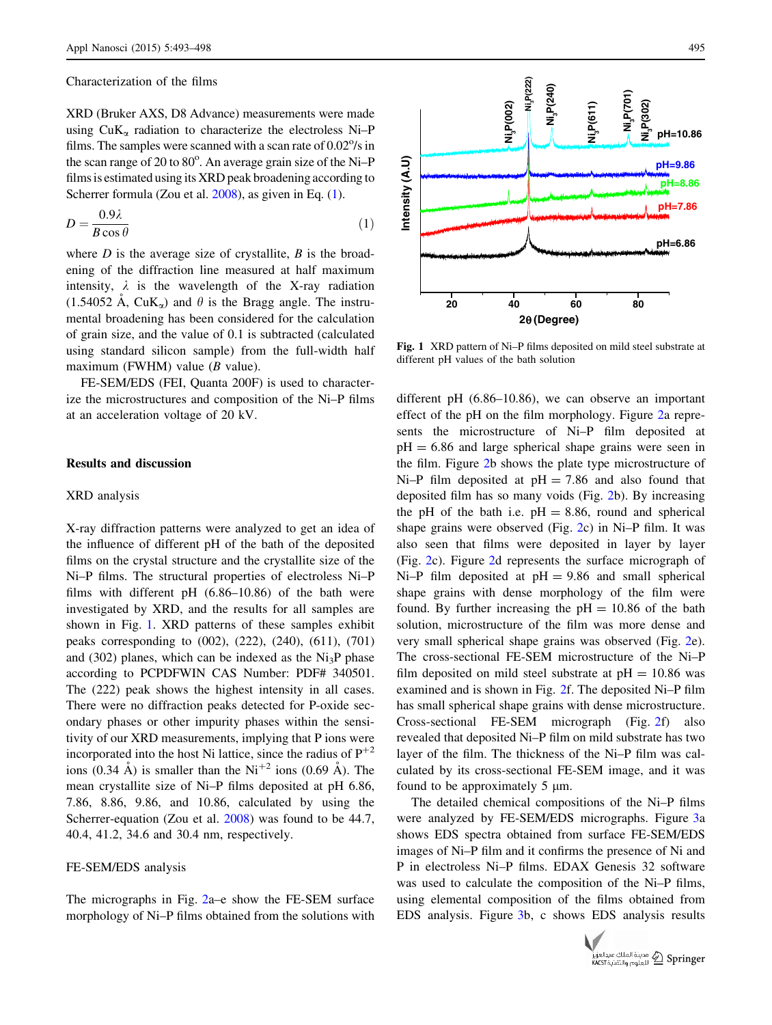Characterization of the films

XRD (Bruker AXS, D8 Advance) measurements were made using  $CuK<sub>α</sub>$  radiation to characterize the electroless Ni–P films. The samples were scanned with a scan rate of  $0.02^{\circ}/s$  in the scan range of 20 to 80°. An average grain size of the Ni-P films is estimated using its XRD peak broadening according to Scherrer formula (Zou et al. [2008](#page-5-0)), as given in Eq. (1).

$$
D = \frac{0.9\lambda}{B\cos\theta} \tag{1}
$$

where  $D$  is the average size of crystallite,  $B$  is the broadening of the diffraction line measured at half maximum intensity,  $\lambda$  is the wavelength of the X-ray radiation (1.54052 Å, CuK<sub> $\alpha$ </sub>) and  $\theta$  is the Bragg angle. The instrumental broadening has been considered for the calculation of grain size, and the value of 0.1 is subtracted (calculated using standard silicon sample) from the full-width half maximum (FWHM) value  $(B \text{ value})$ .

FE-SEM/EDS (FEI, Quanta 200F) is used to characterize the microstructures and composition of the Ni–P films at an acceleration voltage of 20 kV.

# Results and discussion

# XRD analysis

X-ray diffraction patterns were analyzed to get an idea of the influence of different pH of the bath of the deposited films on the crystal structure and the crystallite size of the Ni–P films. The structural properties of electroless Ni–P films with different pH (6.86–10.86) of the bath were investigated by XRD, and the results for all samples are shown in Fig. 1. XRD patterns of these samples exhibit peaks corresponding to (002), (222), (240), (611), (701) and (302) planes, which can be indexed as the  $Ni<sub>3</sub>P$  phase according to PCPDFWIN CAS Number: PDF# 340501. The (222) peak shows the highest intensity in all cases. There were no diffraction peaks detected for P-oxide secondary phases or other impurity phases within the sensitivity of our XRD measurements, implying that P ions were incorporated into the host Ni lattice, since the radius of  $P^{+2}$ ions  $(0.34 \text{ Å})$  is smaller than the Ni<sup>+2</sup> ions  $(0.69 \text{ Å})$ . The mean crystallite size of Ni–P films deposited at pH 6.86, 7.86, 8.86, 9.86, and 10.86, calculated by using the Scherrer-equation (Zou et al. [2008\)](#page-5-0) was found to be 44.7, 40.4, 41.2, 34.6 and 30.4 nm, respectively.

# FE-SEM/EDS analysis

The micrographs in Fig. [2a](#page-3-0)–e show the FE-SEM surface morphology of Ni–P films obtained from the solutions with



Fig. 1 XRD pattern of Ni–P films deposited on mild steel substrate at different pH values of the bath solution

different pH (6.86–10.86), we can observe an important effect of the pH on the film morphology. Figure [2a](#page-3-0) represents the microstructure of Ni–P film deposited at  $pH = 6.86$  and large spherical shape grains were seen in the film. Figure [2](#page-3-0)b shows the plate type microstructure of Ni–P film deposited at  $pH = 7.86$  and also found that deposited film has so many voids (Fig. [2b](#page-3-0)). By increasing the pH of the bath i.e.  $pH = 8.86$ , round and spherical shape grains were observed (Fig. [2](#page-3-0)c) in Ni–P film. It was also seen that films were deposited in layer by layer (Fig. [2c](#page-3-0)). Figure [2](#page-3-0)d represents the surface micrograph of Ni–P film deposited at  $pH = 9.86$  and small spherical shape grains with dense morphology of the film were found. By further increasing the  $pH = 10.86$  of the bath solution, microstructure of the film was more dense and very small spherical shape grains was observed (Fig. [2e](#page-3-0)). The cross-sectional FE-SEM microstructure of the Ni–P film deposited on mild steel substrate at  $pH = 10.86$  was examined and is shown in Fig. [2](#page-3-0)f. The deposited Ni–P film has small spherical shape grains with dense microstructure. Cross-sectional FE-SEM micrograph (Fig. [2](#page-3-0)f) also revealed that deposited Ni–P film on mild substrate has two layer of the film. The thickness of the Ni–P film was calculated by its cross-sectional FE-SEM image, and it was found to be approximately  $5 \mu m$ .

The detailed chemical compositions of the Ni–P films were analyzed by FE-SEM/EDS micrographs. Figure [3a](#page-4-0) shows EDS spectra obtained from surface FE-SEM/EDS images of Ni–P film and it confirms the presence of Ni and P in electroless Ni–P films. EDAX Genesis 32 software was used to calculate the composition of the Ni–P films, using elemental composition of the films obtained from EDS analysis. Figure [3](#page-4-0)b, c shows EDS analysis results

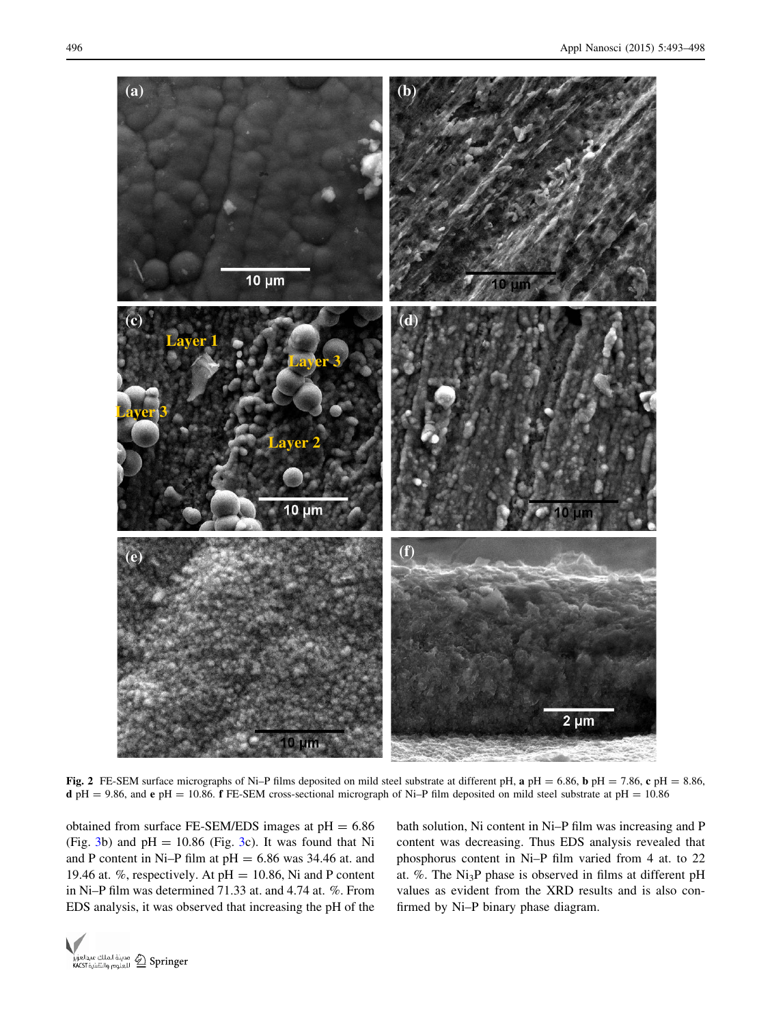<span id="page-3-0"></span>

Fig. 2 FE-SEM surface micrographs of Ni–P films deposited on mild steel substrate at different pH, a pH = 6.86, b pH = 7.86, c pH = 8.86,  $d$  pH = 9.86, and e pH = 10.86. f FE-SEM cross-sectional micrograph of Ni–P film deposited on mild steel substrate at pH = 10.86

obtained from surface FE-SEM/EDS images at  $pH = 6.86$ (Fig. [3](#page-4-0)b) and  $pH = 10.86$  (Fig. 3c). It was found that Ni and P content in Ni–P film at  $pH = 6.86$  was 34.46 at. and 19.46 at. %, respectively. At pH = 10.86, Ni and P content in Ni–P film was determined 71.33 at. and 4.74 at. %. From EDS analysis, it was observed that increasing the pH of the bath solution, Ni content in Ni–P film was increasing and P content was decreasing. Thus EDS analysis revealed that phosphorus content in Ni–P film varied from 4 at. to 22 at. %. The Ni3P phase is observed in films at different pH values as evident from the XRD results and is also confirmed by Ni–P binary phase diagram.

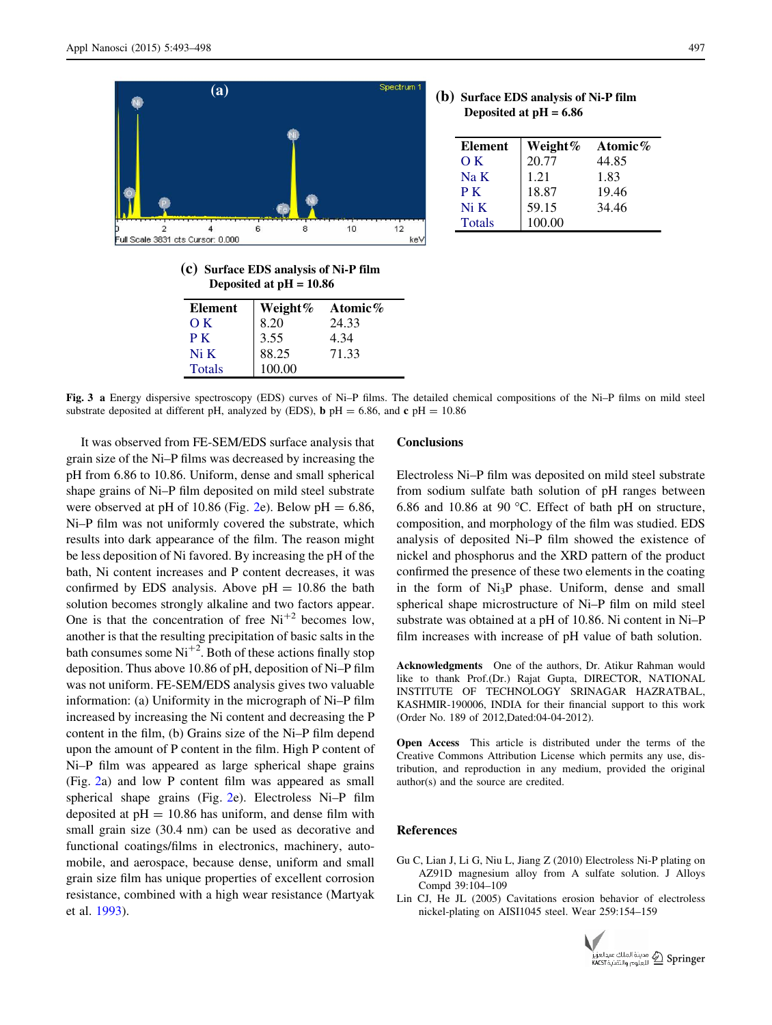<span id="page-4-0"></span>

**(c) Surface EDS analysis of Ni-P film Deposited at pH = 10.86**

| Element       | Weight $%$ | Atomic% |
|---------------|------------|---------|
| O K           | 8.20       | 24.33   |
| P K           | 3.55       | 4.34    |
| Ni K          | 88.25      | 71.33   |
| <b>Totals</b> | 100.00     |         |

**(b) Surface EDS analysis of Ni-P film Deposited at pH = 6.86**

| Element       | Weight% | Atomic $%$ |
|---------------|---------|------------|
| O K           | 20.77   | 44.85      |
| Na K          | 1.21    | 1.83       |
| P K           | 18.87   | 19.46      |
| Ni K          | 59.15   | 34.46      |
| <b>Totals</b> | 100.00  |            |

Fig. 3 a Energy dispersive spectroscopy (EDS) curves of Ni–P films. The detailed chemical compositions of the Ni–P films on mild steel substrate deposited at different pH, analyzed by (EDS), **b** pH = 6.86, and **c** pH = 10.86

It was observed from FE-SEM/EDS surface analysis that grain size of the Ni–P films was decreased by increasing the pH from 6.86 to 10.86. Uniform, dense and small spherical shape grains of Ni–P film deposited on mild steel substrate were observed at pH of 10.86 (Fig. [2e](#page-3-0)). Below pH =  $6.86$ , Ni–P film was not uniformly covered the substrate, which results into dark appearance of the film. The reason might be less deposition of Ni favored. By increasing the pH of the bath, Ni content increases and P content decreases, it was confirmed by EDS analysis. Above  $pH = 10.86$  the bath solution becomes strongly alkaline and two factors appear. One is that the concentration of free  $Ni<sup>+2</sup>$  becomes low, another is that the resulting precipitation of basic salts in the bath consumes some  $Ni^{+2}$ . Both of these actions finally stop deposition. Thus above 10.86 of pH, deposition of Ni–P film was not uniform. FE-SEM/EDS analysis gives two valuable information: (a) Uniformity in the micrograph of Ni–P film increased by increasing the Ni content and decreasing the P content in the film, (b) Grains size of the Ni–P film depend upon the amount of P content in the film. High P content of Ni–P film was appeared as large spherical shape grains (Fig. [2](#page-3-0)a) and low P content film was appeared as small spherical shape grains (Fig. [2](#page-3-0)e). Electroless Ni–P film deposited at  $pH = 10.86$  has uniform, and dense film with small grain size (30.4 nm) can be used as decorative and functional coatings/films in electronics, machinery, automobile, and aerospace, because dense, uniform and small grain size film has unique properties of excellent corrosion resistance, combined with a high wear resistance (Martyak et al. [1993\)](#page-5-0).

#### **Conclusions**

Electroless Ni–P film was deposited on mild steel substrate from sodium sulfate bath solution of pH ranges between 6.86 and 10.86 at 90  $^{\circ}$ C. Effect of bath pH on structure, composition, and morphology of the film was studied. EDS analysis of deposited Ni–P film showed the existence of nickel and phosphorus and the XRD pattern of the product confirmed the presence of these two elements in the coating in the form of  $Ni<sub>3</sub>P$  phase. Uniform, dense and small spherical shape microstructure of Ni–P film on mild steel substrate was obtained at a pH of 10.86. Ni content in Ni–P film increases with increase of pH value of bath solution.

Acknowledgments One of the authors, Dr. Atikur Rahman would like to thank Prof.(Dr.) Rajat Gupta, DIRECTOR, NATIONAL INSTITUTE OF TECHNOLOGY SRINAGAR HAZRATBAL, KASHMIR-190006, INDIA for their financial support to this work (Order No. 189 of 2012,Dated:04-04-2012).

Open Access This article is distributed under the terms of the Creative Commons Attribution License which permits any use, distribution, and reproduction in any medium, provided the original author(s) and the source are credited.

#### References

- Gu C, Lian J, Li G, Niu L, Jiang Z (2010) Electroless Ni-P plating on AZ91D magnesium alloy from A sulfate solution. J Alloys Compd 39:104–109
- Lin CJ, He JL (2005) Cavitations erosion behavior of electroless nickel-plating on AISI1045 steel. Wear 259:154–159